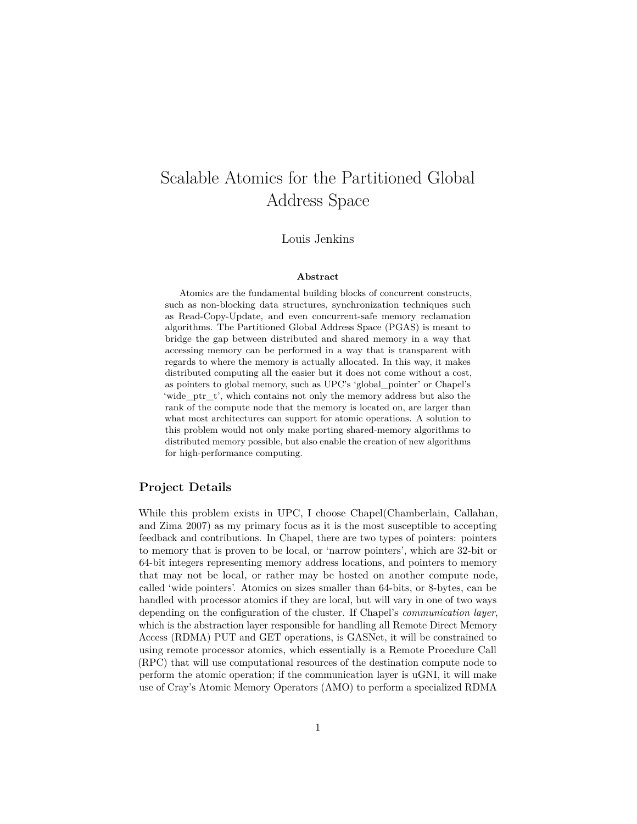# Scalable Atomics for the Partitioned Global Address Space

Louis Jenkins

#### **Abstract**

Atomics are the fundamental building blocks of concurrent constructs, such as non-blocking data structures, synchronization techniques such as Read-Copy-Update, and even concurrent-safe memory reclamation algorithms. The Partitioned Global Address Space (PGAS) is meant to bridge the gap between distributed and shared memory in a way that accessing memory can be performed in a way that is transparent with regards to where the memory is actually allocated. In this way, it makes distributed computing all the easier but it does not come without a cost, as pointers to global memory, such as UPC's 'global\_pointer' or Chapel's 'wide\_ptr\_t', which contains not only the memory address but also the rank of the compute node that the memory is located on, are larger than what most architectures can support for atomic operations. A solution to this problem would not only make porting shared-memory algorithms to distributed memory possible, but also enable the creation of new algorithms for high-performance computing.

### **Project Details**

While this problem exists in UPC, I choose Chapel(Chamberlain, Callahan, and Zima [2007\)](#page-3-0) as my primary focus as it is the most susceptible to accepting feedback and contributions. In Chapel, there are two types of pointers: pointers to memory that is proven to be local, or 'narrow pointers', which are 32-bit or 64-bit integers representing memory address locations, and pointers to memory that may not be local, or rather may be hosted on another compute node, called 'wide pointers'. Atomics on sizes smaller than 64-bits, or 8-bytes, can be handled with processor atomics if they are local, but will vary in one of two ways depending on the configuration of the cluster. If Chapel's *communication layer*, which is the abstraction layer responsible for handling all Remote Direct Memory Access (RDMA) PUT and GET operations, is GASNet, it will be constrained to using remote processor atomics, which essentially is a Remote Procedure Call (RPC) that will use computational resources of the destination compute node to perform the atomic operation; if the communication layer is uGNI, it will make use of Cray's Atomic Memory Operators (AMO) to perform a specialized RDMA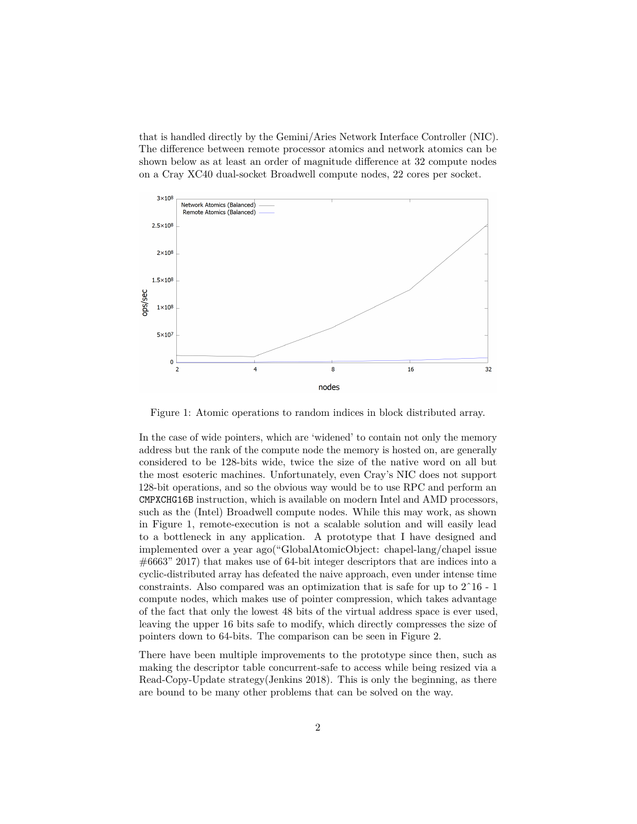that is handled directly by the Gemini/Aries Network Interface Controller (NIC). The difference between remote processor atomics and network atomics can be shown below as at least an order of magnitude difference at 32 compute nodes on a Cray XC40 dual-socket Broadwell compute nodes, 22 cores per socket.



Figure 1: Atomic operations to random indices in block distributed array.

In the case of wide pointers, which are 'widened' to contain not only the memory address but the rank of the compute node the memory is hosted on, are generally considered to be 128-bits wide, twice the size of the native word on all but the most esoteric machines. Unfortunately, even Cray's NIC does not support 128-bit operations, and so the obvious way would be to use RPC and perform an CMPXCHG16B instruction, which is available on modern Intel and AMD processors, such as the (Intel) Broadwell compute nodes. While this may work, as shown in Figure 1, remote-execution is not a scalable solution and will easily lead to a bottleneck in any application. A prototype that I have designed and implemented over a year ago("GlobalAtomicObject: chapel-lang/chapel issue #6663" [2017\)](#page-3-1) that makes use of 64-bit integer descriptors that are indices into a cyclic-distributed array has defeated the naive approach, even under intense time constraints. Also compared was an optimization that is safe for up to  $2^{\degree}16$  - 1 compute nodes, which makes use of pointer compression, which takes advantage of the fact that only the lowest 48 bits of the virtual address space is ever used, leaving the upper 16 bits safe to modify, which directly compresses the size of pointers down to 64-bits. The comparison can be seen in Figure 2.

There have been multiple improvements to the prototype since then, such as making the descriptor table concurrent-safe to access while being resized via a Read-Copy-Update strategy(Jenkins [2018\)](#page-3-2). This is only the beginning, as there are bound to be many other problems that can be solved on the way.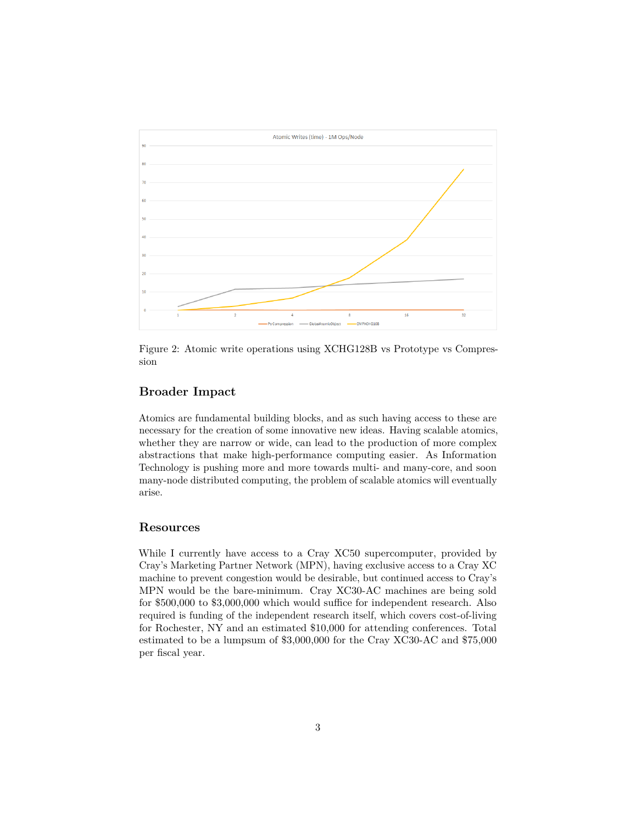

Figure 2: Atomic write operations using XCHG128B vs Prototype vs Compression

## **Broader Impact**

Atomics are fundamental building blocks, and as such having access to these are necessary for the creation of some innovative new ideas. Having scalable atomics, whether they are narrow or wide, can lead to the production of more complex abstractions that make high-performance computing easier. As Information Technology is pushing more and more towards multi- and many-core, and soon many-node distributed computing, the problem of scalable atomics will eventually arise.

### **Resources**

While I currently have access to a Cray XC50 supercomputer, provided by Cray's Marketing Partner Network (MPN), having exclusive access to a Cray XC machine to prevent congestion would be desirable, but continued access to Cray's MPN would be the bare-minimum. Cray XC30-AC machines are being sold for \$500,000 to \$3,000,000 which would suffice for independent research. Also required is funding of the independent research itself, which covers cost-of-living for Rochester, NY and an estimated \$10,000 for attending conferences. Total estimated to be a lumpsum of \$3,000,000 for the Cray XC30-AC and \$75,000 per fiscal year.